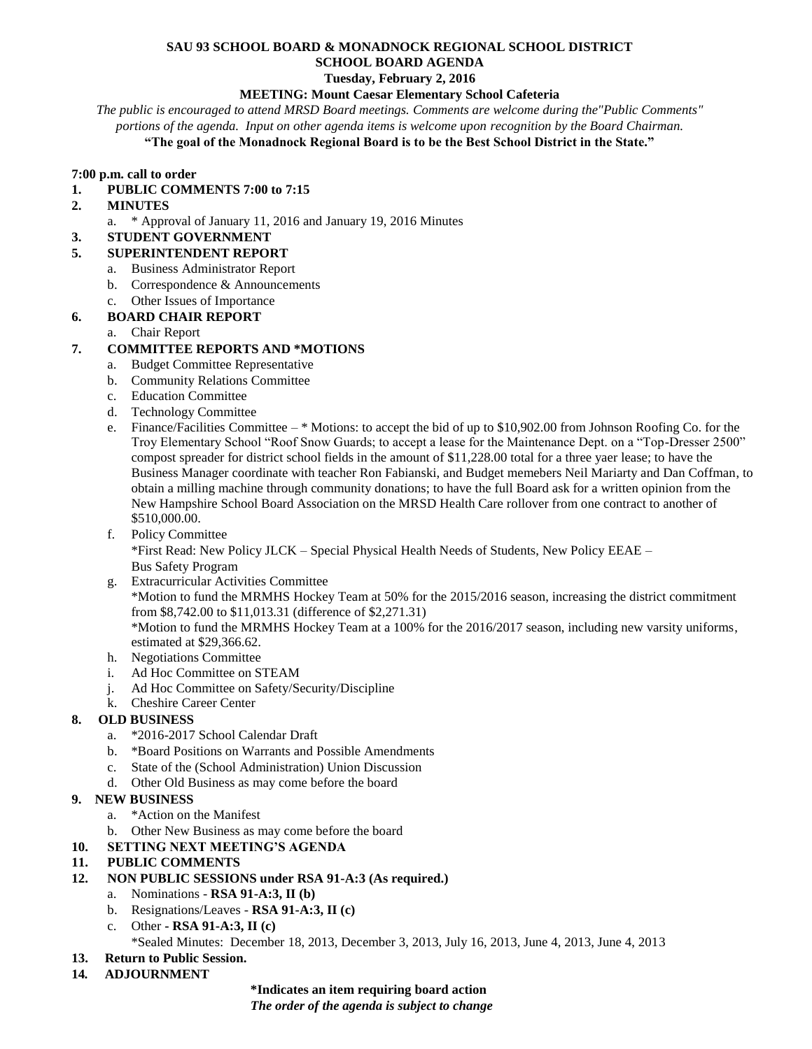#### **SAU 93 SCHOOL BOARD & MONADNOCK REGIONAL SCHOOL DISTRICT SCHOOL BOARD AGENDA**

**Tuesday, February 2, 2016**

# **MEETING: Mount Caesar Elementary School Cafeteria**

*The public is encouraged to attend MRSD Board meetings. Comments are welcome during the"Public Comments" portions of the agenda. Input on other agenda items is welcome upon recognition by the Board Chairman.* **"The goal of the Monadnock Regional Board is to be the Best School District in the State."**

# **7:00 p.m. call to order**

#### **1. PUBLIC COMMENTS 7:00 to 7:15**

- **2. MINUTES** 
	- a. \* Approval of January 11, 2016 and January 19, 2016 Minutes

#### **3. STUDENT GOVERNMENT**

- **5. SUPERINTENDENT REPORT**
	- a. Business Administrator Report
	- b. Correspondence & Announcements
	- c. Other Issues of Importance

#### **6. BOARD CHAIR REPORT**

a. Chair Report

### **7. COMMITTEE REPORTS AND \*MOTIONS**

- a. Budget Committee Representative
	- b. Community Relations Committee
	- c. Education Committee
	- d. Technology Committee
	- e. Finance/Facilities Committee  $-$  \* Motions: to accept the bid of up to \$10,902.00 from Johnson Roofing Co. for the Troy Elementary School "Roof Snow Guards; to accept a lease for the Maintenance Dept. on a "Top-Dresser 2500" compost spreader for district school fields in the amount of \$11,228.00 total for a three yaer lease; to have the Business Manager coordinate with teacher Ron Fabianski, and Budget memebers Neil Mariarty and Dan Coffman, to obtain a milling machine through community donations; to have the full Board ask for a written opinion from the New Hampshire School Board Association on the MRSD Health Care rollover from one contract to another of \$510,000.00.
	- f. Policy Committee

\*First Read: New Policy JLCK – Special Physical Health Needs of Students, New Policy EEAE – Bus Safety Program

- g. Extracurricular Activities Committee \*Motion to fund the MRMHS Hockey Team at 50% for the 2015/2016 season, increasing the district commitment from \$8,742.00 to \$11,013.31 (difference of \$2,271.31) \*Motion to fund the MRMHS Hockey Team at a 100% for the 2016/2017 season, including new varsity uniforms, estimated at \$29,366.62.
- h. Negotiations Committee
- i. Ad Hoc Committee on STEAM
- j. Ad Hoc Committee on Safety/Security/Discipline
- k. Cheshire Career Center

#### **8. OLD BUSINESS**

- a. \*2016-2017 School Calendar Draft
- b. \*Board Positions on Warrants and Possible Amendments
- c. State of the (School Administration) Union Discussion
- d. Other Old Business as may come before the board

#### **9. NEW BUSINESS**

- a. \*Action on the Manifest
- b. Other New Business as may come before the board
- **10. SETTING NEXT MEETING'S AGENDA**

#### **11. PUBLIC COMMENTS**

- **12. NON PUBLIC SESSIONS under RSA 91-A:3 (As required.)**
	- a. Nominations **RSA 91-A:3, II (b)**
	- b. Resignations/Leaves **RSA 91-A:3, II (c)**
	- c. Other **- RSA 91-A:3, II (c)**
		- \*Sealed Minutes: December 18, 2013, December 3, 2013, July 16, 2013, June 4, 2013, June 4, 2013
- **13. Return to Public Session.**
- **14***.* **ADJOURNMENT**

#### **\*Indicates an item requiring board action**

*The order of the agenda is subject to change*